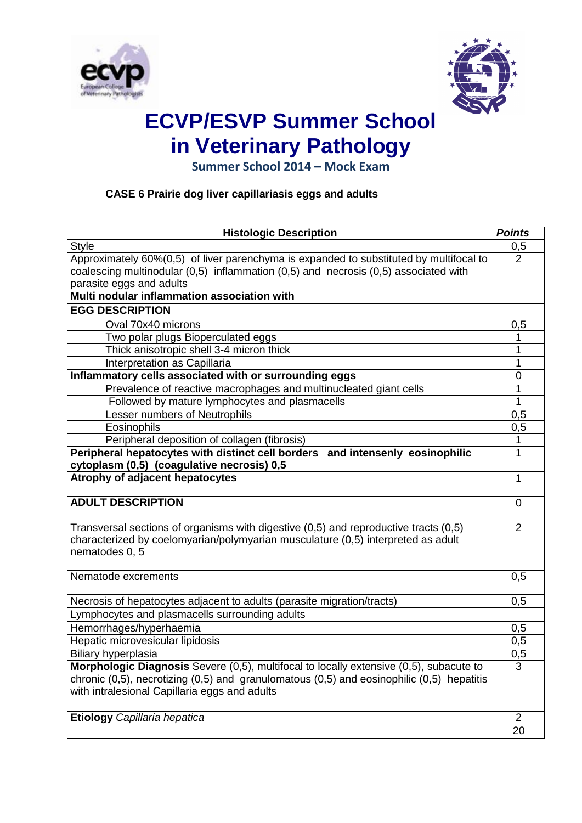



# **ECVP/ESVP Summer School in Veterinary Pathology**

**Summer School 2014 – Mock Exam**

## **CASE 6 Prairie dog liver capillariasis eggs and adults**

| <b>Histologic Description</b>                                                                                                                                                                                                                 | <b>Points</b>  |
|-----------------------------------------------------------------------------------------------------------------------------------------------------------------------------------------------------------------------------------------------|----------------|
| <b>Style</b>                                                                                                                                                                                                                                  | 0,5            |
| Approximately 60%(0,5) of liver parenchyma is expanded to substituted by multifocal to                                                                                                                                                        | $\overline{2}$ |
| coalescing multinodular $(0,5)$ inflammation $(0,5)$ and necrosis $(0,5)$ associated with                                                                                                                                                     |                |
| parasite eggs and adults                                                                                                                                                                                                                      |                |
| Multi nodular inflammation association with                                                                                                                                                                                                   |                |
| <b>EGG DESCRIPTION</b>                                                                                                                                                                                                                        |                |
| Oval 70x40 microns                                                                                                                                                                                                                            | 0,5            |
| Two polar plugs Bioperculated eggs                                                                                                                                                                                                            | 1              |
| Thick anisotropic shell 3-4 micron thick                                                                                                                                                                                                      | 1              |
| Interpretation as Capillaria                                                                                                                                                                                                                  | 1              |
| Inflammatory cells associated with or surrounding eggs                                                                                                                                                                                        | 0              |
| Prevalence of reactive macrophages and multinucleated giant cells                                                                                                                                                                             | 1              |
| Followed by mature lymphocytes and plasmacells                                                                                                                                                                                                | 1              |
| Lesser numbers of Neutrophils                                                                                                                                                                                                                 | 0,5            |
| Eosinophils                                                                                                                                                                                                                                   | 0,5            |
| Peripheral deposition of collagen (fibrosis)                                                                                                                                                                                                  | 1              |
| Peripheral hepatocytes with distinct cell borders and intensenly eosinophilic<br>cytoplasm (0,5) (coagulative necrosis) 0,5                                                                                                                   | 1              |
| Atrophy of adjacent hepatocytes                                                                                                                                                                                                               | 1              |
| <b>ADULT DESCRIPTION</b>                                                                                                                                                                                                                      | $\Omega$       |
| Transversal sections of organisms with digestive (0,5) and reproductive tracts (0,5)<br>characterized by coelomyarian/polymyarian musculature (0,5) interpreted as adult<br>nematodes 0, 5                                                    | $\overline{2}$ |
| Nematode excrements                                                                                                                                                                                                                           | 0,5            |
| Necrosis of hepatocytes adjacent to adults (parasite migration/tracts)                                                                                                                                                                        | 0,5            |
| Lymphocytes and plasmacells surrounding adults                                                                                                                                                                                                |                |
| Hemorrhages/hyperhaemia                                                                                                                                                                                                                       | 0,5            |
| Hepatic microvesicular lipidosis                                                                                                                                                                                                              | 0,5            |
| Biliary hyperplasia                                                                                                                                                                                                                           | 0,5            |
| Morphologic Diagnosis Severe (0,5), multifocal to locally extensive (0,5), subacute to<br>chronic $(0,5)$ , necrotizing $(0,5)$ and granulomatous $(0,5)$ and eosinophilic $(0,5)$ hepatitis<br>with intralesional Capillaria eggs and adults | 3              |
| Etiology Capillaria hepatica                                                                                                                                                                                                                  | 2              |
|                                                                                                                                                                                                                                               | 20             |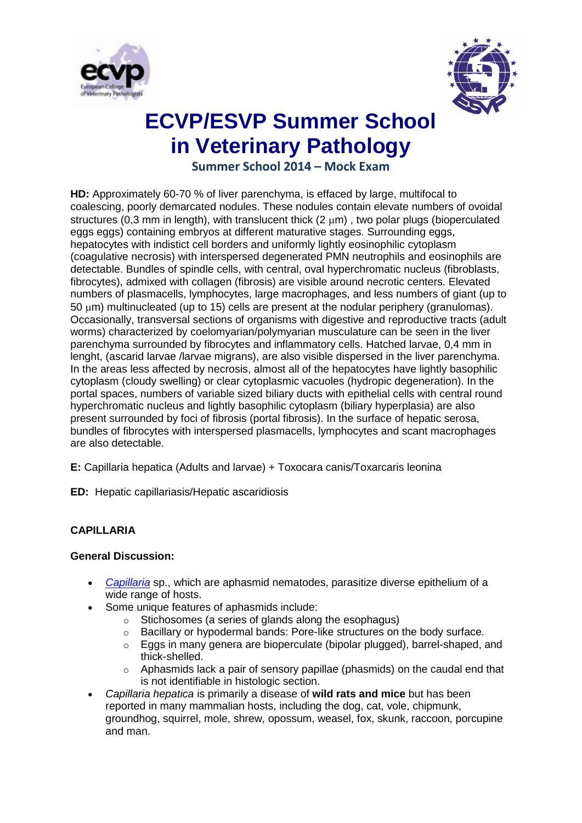



## **ECVP/ESVP Summer School in Veterinary Pathology**

**Summer School 2014 – Mock Exam**

**HD:** Approximately 60-70 % of liver parenchyma, is effaced by large, multifocal to coalescing, poorly demarcated nodules. These nodules contain elevate numbers of ovoidal structures (0,3 mm in length), with translucent thick (2  $\mu$ m), two polar plugs (bioperculated eggs eggs) containing embryos at different maturative stages. Surrounding eggs, hepatocytes with indistict cell borders and uniformly lightly eosinophilic cytoplasm (coagulative necrosis) with interspersed degenerated PMN neutrophils and eosinophils are detectable. Bundles of spindle cells, with central, oval hyperchromatic nucleus (fibroblasts, fibrocytes), admixed with collagen (fibrosis) are visible around necrotic centers. Elevated numbers of plasmacells, lymphocytes, large macrophages, and less numbers of giant (up to 50 um) multinucleated (up to 15) cells are present at the nodular periphery (granulomas). Occasionally, transversal sections of organisms with digestive and reproductive tracts (adult worms) characterized by coelomyarian/polymyarian musculature can be seen in the liver parenchyma surrounded by fibrocytes and inflammatory cells. Hatched larvae, 0,4 mm in lenght, (ascarid larvae /larvae migrans), are also visible dispersed in the liver parenchyma. In the areas less affected by necrosis, almost all of the hepatocytes have lightly basophilic cytoplasm (cloudy swelling) or clear cytoplasmic vacuoles (hydropic degeneration). In the portal spaces, numbers of variable sized biliary ducts with epithelial cells with central round hyperchromatic nucleus and lightly basophilic cytoplasm (biliary hyperplasia) are also present surrounded by foci of fibrosis (portal fibrosis). In the surface of hepatic serosa, bundles of fibrocytes with interspersed plasmacells, lymphocytes and scant macrophages are also detectable.

**E:** Capillaria hepatica (Adults and larvae) + Toxocara canis/Toxarcaris leonina

**ED:** Hepatic capillariasis/Hepatic ascaridiosis

### **CAPILLARIA**

#### **General Discussion:**

- *[Capillaria](https://www.askjpc.org/vspo/show_page.php?id=592)* sp., which are aphasmid nematodes, parasitize diverse epithelium of a wide range of hosts.
- Some unique features of aphasmids include:
	- Stichosomes (a series of glands along the esophagus)
	- $\circ$  Bacillary or hypodermal bands: Pore-like structures on the body surface.
	- $\circ$  Eggs in many genera are bioperculate (bipolar plugged), barrel-shaped, and thick-shelled.
	- $\circ$  Aphasmids lack a pair of sensory papillae (phasmids) on the caudal end that is not identifiable in histologic section.
- *Capillaria hepatica* is primarily a disease of **wild rats and mice** but has been reported in many mammalian hosts, including the dog, cat, vole, chipmunk, groundhog, squirrel, mole, shrew, opossum, weasel, fox, skunk, raccoon, porcupine and man.